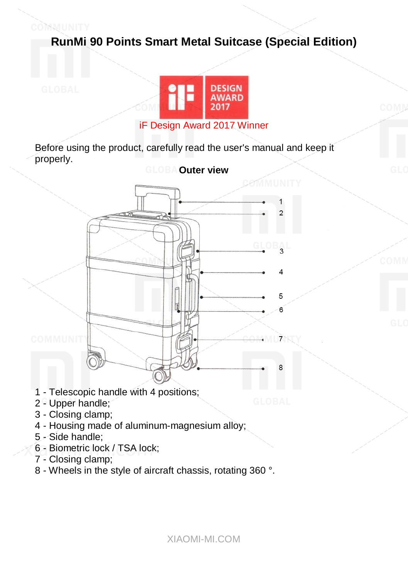



Before using the product, carefully read the user's manual and keep it properly.



- 1 Telescopic handle with 4 positions;
- 2 Upper handle;

COMMUNITY

- 3 Closing clamp;
- 4 Housing made of aluminum-magnesium alloy;
- 5 Side handle;
- 6 Biometric lock / TSA lock;
- 7 Closing clamp;
- 8 Wheels in the style of aircraft chassis, rotating 360 °.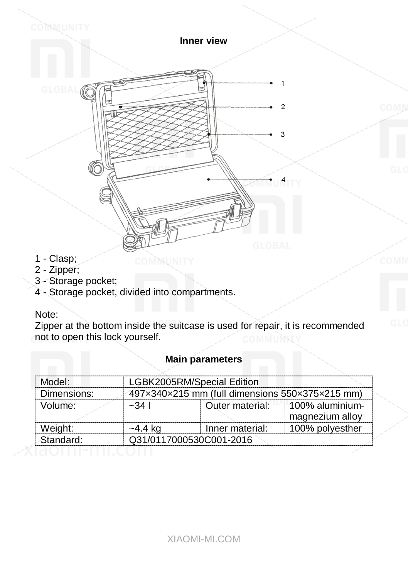

COMMUNITY

1 - Clasp;

COMMUNITY

- 2 Zipper;
- 3 Storage pocket;
- 4 Storage pocket, divided into compartments.

## Note:

Zipper at the bottom inside the suitcase is used for repair, it is recommended not to open this lock yourself.

| Model:      | LGBK2005RM/Special Edition                      |                 |                  |  |
|-------------|-------------------------------------------------|-----------------|------------------|--|
| Dimensions: | 497x340x215 mm (full dimensions 550x375x215 mm) |                 |                  |  |
| Volume:     | $-341$                                          | Outer material: | 1100% aluminium- |  |
|             |                                                 |                 | magnezium alloy  |  |
| Weight:     | $-4.4$ kg                                       | Inner material: | 100% polyesther  |  |
| Standard:   | Q31/0117000530C001-2016                         |                 |                  |  |

### **Main parameters**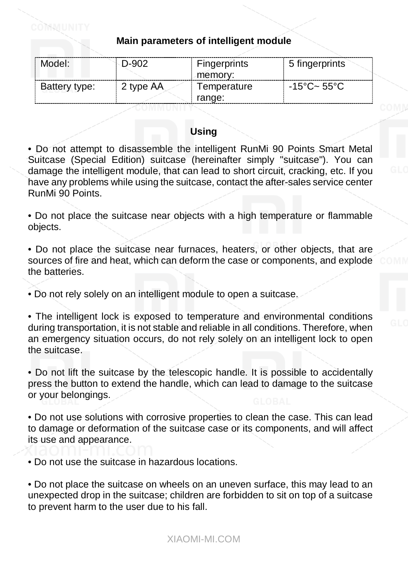## **Main parameters of intelligent module**

ו או וועגאר

| Model:        | D-902     | Fingerprints | 5 fingerprints        |
|---------------|-----------|--------------|-----------------------|
|               |           | ∠memorv:     |                       |
| Battery type: | 2 type AA | Temperature  | $-15^{\circ}$ C~ 55°C |
|               |           | range:       |                       |

### **Using**

• Do not attempt to disassemble the intelligent RunMi 90 Points Smart Metal Suitcase (Special Edition) suitcase (hereinafter simply "suitcase"). You can damage the intelligent module, that can lead to short circuit, cracking, etc. If you have any problems while using the suitcase, contact the after-sales service center RunMi 90 Points.

• Do not place the suitcase near objects with a high temperature or flammable objects.

• Do not place the suitcase near furnaces, heaters, or other objects, that are sources of fire and heat, which can deform the case or components, and explode the batteries.

• Do not rely solely on an intelligent module to open a suitcase.

• The intelligent lock is exposed to temperature and environmental conditions during transportation, it is not stable and reliable in all conditions. Therefore, when an emergency situation occurs, do not rely solely on an intelligent lock to open the suitcase.

• Do not lift the suitcase by the telescopic handle. It is possible to accidentally press the button to extend the handle, which can lead to damage to the suitcase or your belongings.

• Do not use solutions with corrosive properties to clean the case. This can lead to damage or deformation of the suitcase case or its components, and will affect its use and appearance.

• Do not use the suitcase in hazardous locations.

• Do not place the suitcase on wheels on an uneven surface, this may lead to an unexpected drop in the suitcase; children are forbidden to sit on top of a suitcase to prevent harm to the user due to his fall.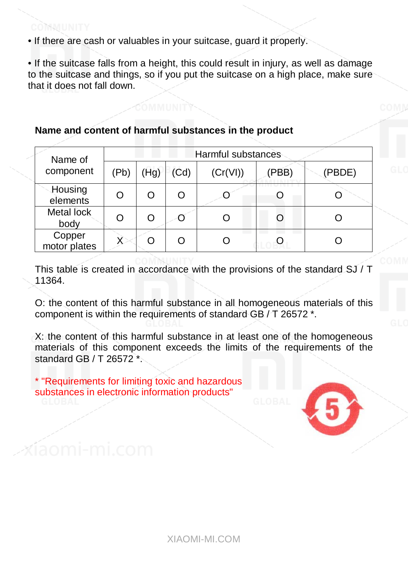### COMMUNITY

• If there are cash or valuables in your suitcase, guard it properly.

• If the suitcase falls from a height, this could result in injury, as well as damage to the suitcase and things, so if you put the suitcase on a high place, make sure that it does not fall down.

### **Name and content of harmful substances in the product**

| Name of<br>component   | Harmful substances |      |      |          |       |        |
|------------------------|--------------------|------|------|----------|-------|--------|
|                        | (Pb)               | (Hg) | (Cd) | (Cr(VI)) | (PBB) | (PBDE) |
| Housing<br>elèments    |                    |      | ∩    |          |       |        |
| Metal lock<br>body     | O                  |      |      |          |       |        |
| Copper<br>motor plates |                    | ∩    | ∩    |          |       |        |

This table is created in accordance with the provisions of the standard SJ / T 11364.

O: the content of this harmful substance in all homogeneous materials of this component is within the requirements of standard GB / T 26572 \*.

X: the content of this harmful substance in at least one of the homogeneous materials of this component exceeds the limits of the requirements of the standard GB / T 26572 \*.

\* "Requirements for limiting toxic and hazardous substances in electronic information products"

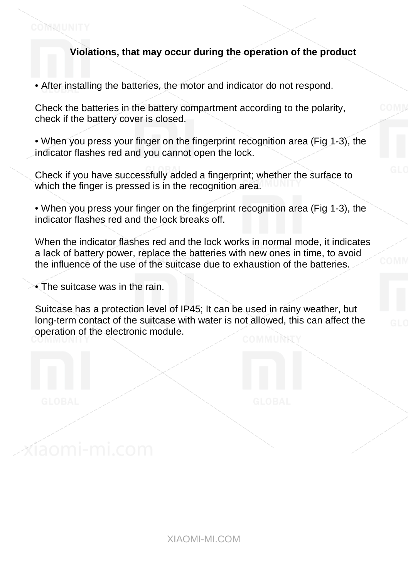## **Violations, that may occur during the operation of the product**

• After installing the batteries, the motor and indicator do not respond.

Check the batteries in the battery compartment according to the polarity, check if the battery cover is closed.

• When you press your finger on the fingerprint recognition area (Fig 1-3), the indicator flashes red and you cannot open the lock.

Check if you have successfully added a fingerprint; whether the surface to which the finger is pressed is in the recognition area.

• When you press your finger on the fingerprint recognition area (Fig 1-3), the indicator flashes red and the lock breaks off.

When the indicator flashes red and the lock works in normal mode, it indicates a lack of battery power, replace the batteries with new ones in time, to avoid the influence of the use of the suitcase due to exhaustion of the batteries.

• The suitcase was in the rain.

COMMUNITY

Suitcase has a protection level of IP45; It can be used in rainy weather, but long-term contact of the suitcase with water is not allowed, this can affect the operation of the electronic module.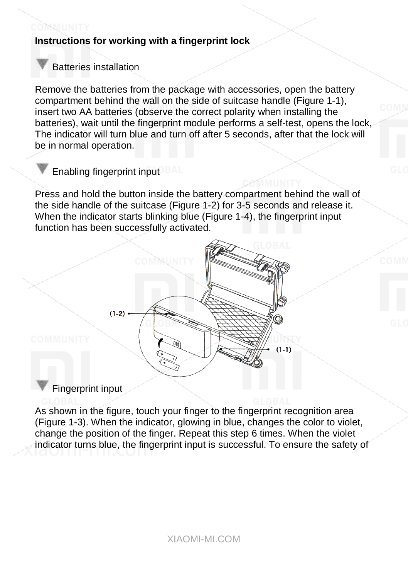# **Instructions for working with a fingerprint lock**

# Batteries installation

COMMUNITY

Remove the batteries from the package with accessories, open the battery compartment behind the wall on the side of suitcase handle (Figure 1-1), insert two AA batteries (observe the correct polarity when installing the batteries), wait until the fingerprint module performs a self-test, opens the lock, The indicator will turn blue and turn off after 5 seconds, after that the lock will be in normal operation.

# Enabling fingerprint input<sup>DBAI</sup>

Press and hold the button inside the battery compartment behind the wall of the side handle of the suitcase (Figure 1-2) for 3-5 seconds and release it. When the indicator starts blinking blue (Figure 1-4), the fingerprint input function has been successfully activated.



## Fingerprint input

As shown in the figure, touch your finger to the fingerprint recognition area (Figure 1-3). When the indicator, glowing in blue, changes the color to violet, change the position of the finger. Repeat this step 6 times. When the violet indicator turns blue, the fingerprint input is successful. To ensure the safety of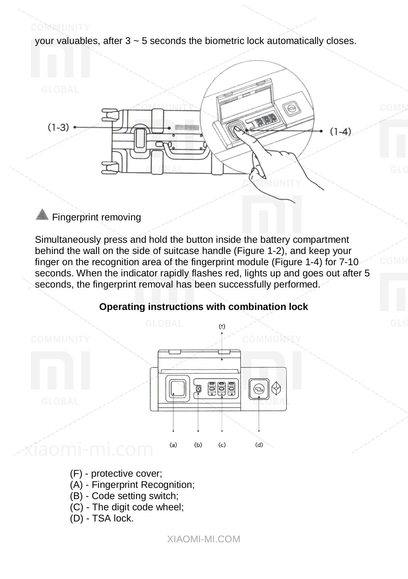your valuables, after  $3 \sim 5$  seconds the biometric lock automatically closes.



# Fingerprint removing

COMMUNITY

Simultaneously press and hold the button inside the battery compartment behind the wall on the side of suitcase handle (Figure 1-2), and keep your finger on the recognition area of the fingerprint module (Figure 1-4) for 7-10 seconds. When the indicator rapidly flashes red, lights up and goes out after 5 seconds, the fingerprint removal has been successfully performed.



## **Operating instructions with combination lock**

- (F) protective cover;
- (A) Fingerprint Recognition;
- (B) Code setting switch;
- (C) The digit code wheel;
- (D) TSA lock.

XIAOMI-MI.COM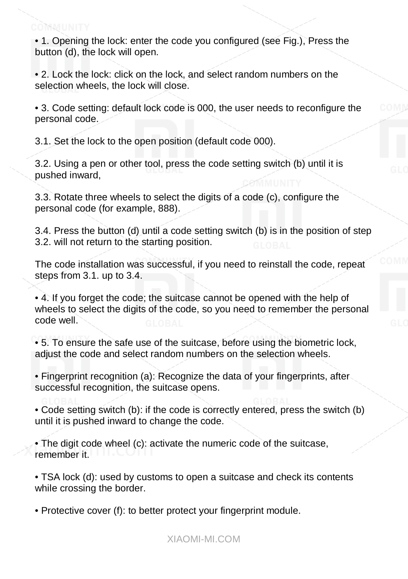• 1. Opening the lock: enter the code you configured (see Fig.), Press the button (d), the lock will open.

• 2. Lock the lock: click on the lock, and select random numbers on the selection wheels, the lock will close.

• 3. Code setting: default lock code is 000, the user needs to reconfigure the personal code.

3.1. Set the lock to the open position (default code 000).

3.2. Using a pen or other tool, press the code setting switch (b) until it is pushed inward,

3.3. Rotate three wheels to select the digits of a code (c), configure the personal code (for example, 888).

3.4. Press the button (d) until a code setting switch (b) is in the position of step 3.2. will not return to the starting position.

The code installation was successful, if you need to reinstall the code, repeat steps from 3.1. up to 3.4.

• 4. If you forget the code; the suitcase cannot be opened with the help of wheels to select the digits of the code, so you need to remember the personal code well.

• 5. To ensure the safe use of the suitcase, before using the biometric lock, adjust the code and select random numbers on the selection wheels.

• Fingerprint recognition (a): Recognize the data of your fingerprints, after successful recognition, the suitcase opens.

• Code setting switch (b): if the code is correctly entered, press the switch (b) until it is pushed inward to change the code.

• The digit code wheel (c): activate the numeric code of the suitcase, remember it.

• TSA lock (d): used by customs to open a suitcase and check its contents while crossing the border.

• Protective cover (f): to better protect your fingerprint module.